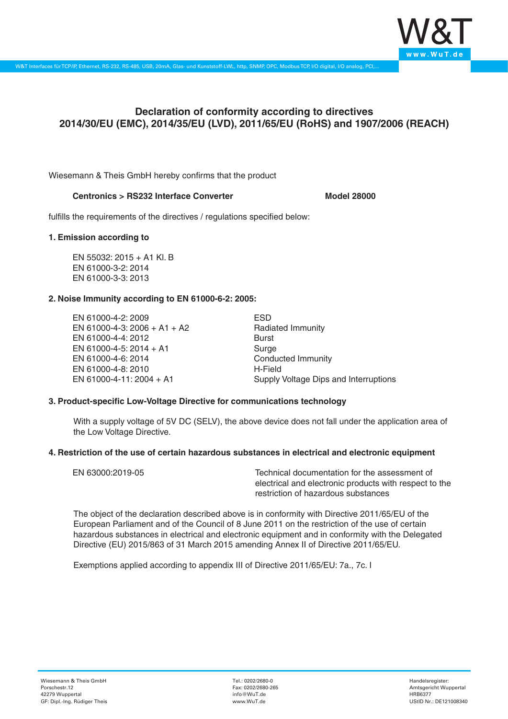

# **Declaration of conformity according to directives 2014/30/EU (EMC), 2014/35/EU (LVD), 2011/65/EU (RoHS) and 1907/2006 (REACH)**

Wiesemann & Theis GmbH hereby confirms that the product

## **Centronics > RS232 Interface Converter Model 28000**

fulfills the requirements of the directives / regulations specified below:

#### **1. Emission according to**

EN 55032: 2015 + A1 Kl. B EN 61000-3-2: 2014 EN 61000-3-3: 2013

### **2. Noise Immunity according to EN 61000-6-2: 2005:**

EN 61000-4-2: 2009 EN 61000-4-3: 2006 + A1 + A2 EN 61000-4-4: 2012 EN 61000-4-5: 2014 + A1 EN 61000-4-6: 2014 EN 61000-4-8: 2010 EN 61000-4-11: 2004 + A1

ESD Radiated Immunity Burst Surge Conducted Immunity H-Field Supply Voltage Dips and Interruptions

### **3. Product-specific Low-Voltage Directive for communications technology**

With a supply voltage of 5V DC (SELV), the above device does not fall under the application area of the Low Voltage Directive.

#### **4. Restriction of the use of certain hazardous substances in electrical and electronic equipment**

| EN 63000:2019-05 | Technical documentation for the assessment of          |
|------------------|--------------------------------------------------------|
|                  | electrical and electronic products with respect to the |
|                  | restriction of hazardous substances                    |

The object of the declaration described above is in conformity with Directive 2011/65/EU of the European Parliament and of the Council of 8 June 2011 on the restriction of the use of certain hazardous substances in electrical and electronic equipment and in conformity with the Delegated Directive (EU) 2015/863 of 31 March 2015 amending Annex II of Directive 2011/65/EU.

Exemptions applied according to appendix III of Directive 2011/65/EU: 7a., 7c. I